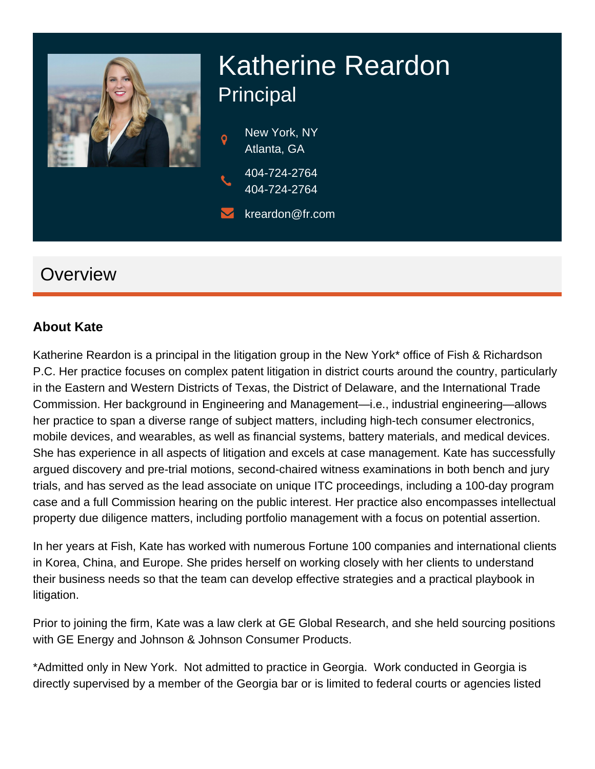

# Katherine Reardon Principal

New York, NY Atlanta, GA 404-724-2764

404-724-2764

kreardon@fr.com

### **Overview**

#### **About Kate**

Katherine Reardon is a principal in the litigation group in the New York\* office of Fish & Richardson P.C. Her practice focuses on complex patent litigation in district courts around the country, particularly in the Eastern and Western Districts of Texas, the District of Delaware, and the International Trade Commission. Her background in Engineering and Management—i.e., industrial engineering—allows her practice to span a diverse range of subject matters, including high-tech consumer electronics, mobile devices, and wearables, as well as financial systems, battery materials, and medical devices. She has experience in all aspects of litigation and excels at case management. Kate has successfully argued discovery and pre-trial motions, second-chaired witness examinations in both bench and jury trials, and has served as the lead associate on unique ITC proceedings, including a 100-day program case and a full Commission hearing on the public interest. Her practice also encompasses intellectual property due diligence matters, including portfolio management with a focus on potential assertion.

In her years at Fish, Kate has worked with numerous Fortune 100 companies and international clients in Korea, China, and Europe. She prides herself on working closely with her clients to understand their business needs so that the team can develop effective strategies and a practical playbook in litigation.

Prior to joining the firm, Kate was a law clerk at GE Global Research, and she held sourcing positions with GE Energy and Johnson & Johnson Consumer Products.

\*Admitted only in New York. Not admitted to practice in Georgia. Work conducted in Georgia is directly supervised by a member of the Georgia bar or is limited to federal courts or agencies listed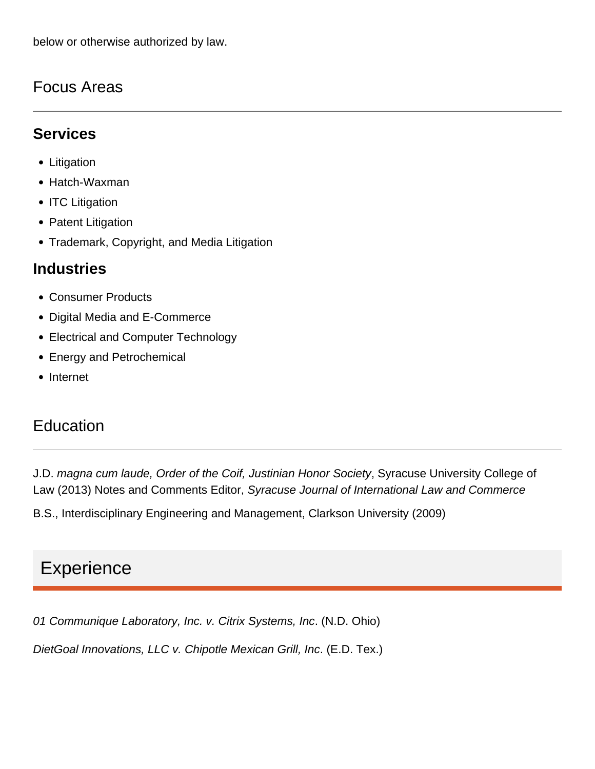below or otherwise authorized by law.

### Focus Areas

### **Services**

- Litigation
- Hatch-Waxman
- ITC Litigation
- Patent Litigation
- Trademark, Copyright, and Media Litigation

### **Industries**

- Consumer Products
- Digital Media and E-Commerce
- Electrical and Computer Technology
- Energy and Petrochemical
- Internet

### Education

J.D. magna cum laude, Order of the Coif, Justinian Honor Society, Syracuse University College of Law (2013) Notes and Comments Editor, Syracuse Journal of International Law and Commerce

B.S., Interdisciplinary Engineering and Management, Clarkson University (2009)

# **Experience**

01 Communique Laboratory, Inc. v. Citrix Systems, Inc. (N.D. Ohio)

DietGoal Innovations, LLC v. Chipotle Mexican Grill, Inc. (E.D. Tex.)